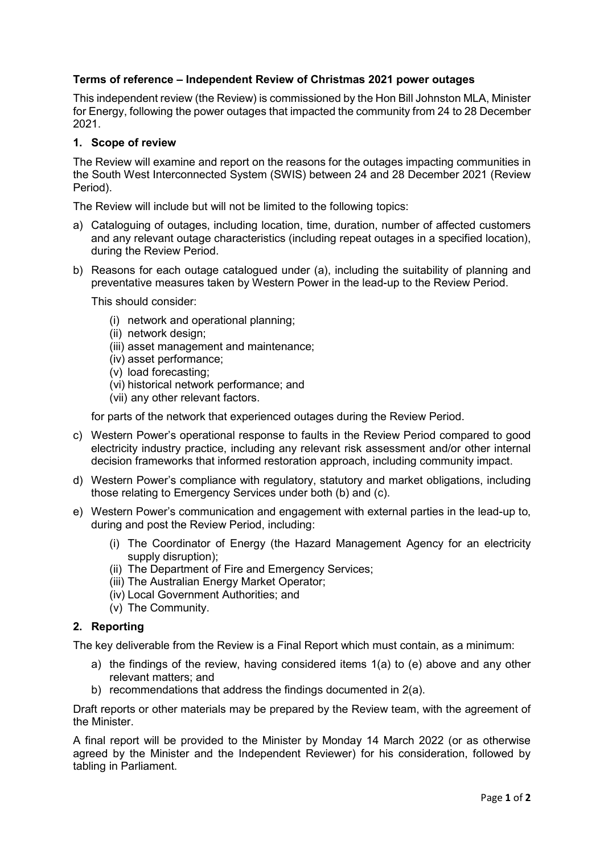## **Terms of reference – Independent Review of Christmas 2021 power outages**

This independent review (the Review) is commissioned by the Hon Bill Johnston MLA, Minister for Energy, following the power outages that impacted the community from 24 to 28 December 2021.

## **1. Scope of review**

The Review will examine and report on the reasons for the outages impacting communities in the South West Interconnected System (SWIS) between 24 and 28 December 2021 (Review Period).

The Review will include but will not be limited to the following topics:

- a) Cataloguing of outages, including location, time, duration, number of affected customers and any relevant outage characteristics (including repeat outages in a specified location), during the Review Period.
- b) Reasons for each outage catalogued under (a), including the suitability of planning and preventative measures taken by Western Power in the lead-up to the Review Period.

This should consider:

- (i) network and operational planning;
- (ii) network design;
- (iii) asset management and maintenance;
- (iv) asset performance;
- (v) load forecasting;
- (vi) historical network performance; and
- (vii) any other relevant factors.

for parts of the network that experienced outages during the Review Period.

- c) Western Power's operational response to faults in the Review Period compared to good electricity industry practice, including any relevant risk assessment and/or other internal decision frameworks that informed restoration approach, including community impact.
- d) Western Power's compliance with regulatory, statutory and market obligations, including those relating to Emergency Services under both (b) and (c).
- e) Western Power's communication and engagement with external parties in the lead-up to, during and post the Review Period, including:
	- (i) The Coordinator of Energy (the Hazard Management Agency for an electricity supply disruption);
	- (ii) The Department of Fire and Emergency Services;
	- (iii) The Australian Energy Market Operator;
	- (iv) Local Government Authorities; and
	- (v) The Community.

## **2. Reporting**

The key deliverable from the Review is a Final Report which must contain, as a minimum:

- a) the findings of the review, having considered items 1(a) to (e) above and any other relevant matters; and
- b) recommendations that address the findings documented in 2(a).

Draft reports or other materials may be prepared by the Review team, with the agreement of the Minister.

A final report will be provided to the Minister by Monday 14 March 2022 (or as otherwise agreed by the Minister and the Independent Reviewer) for his consideration, followed by tabling in Parliament.